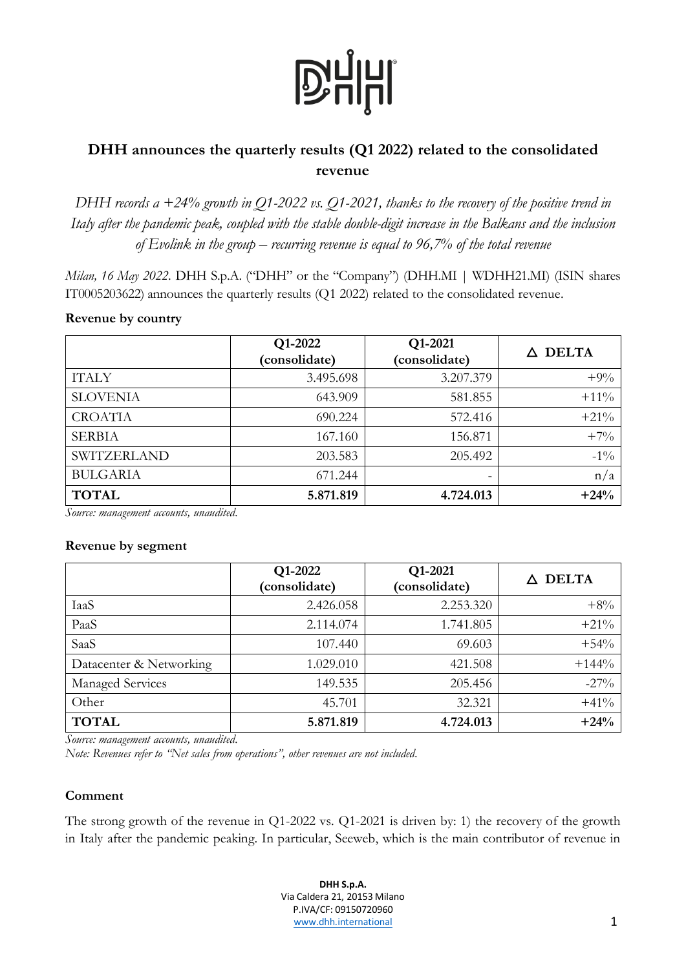# **D'HHI**

## **DHH announces the quarterly results (Q1 2022) related to the consolidated revenue**

*DHH records a +24% growth in Q1-2022 vs. Q1-2021, thanks to the recovery of the positive trend in Italy after the pandemic peak, coupled with the stable double-digit increase in the Balkans and the inclusion of Evolink in the group – recurring revenue is equal to 96,7% of the total revenue*

*Milan, 16 May 2022*. DHH S.p.A. ("DHH" or the "Company") (DHH.MI | WDHH21.MI) (ISIN shares IT0005203622) announces the quarterly results (Q1 2022) related to the consolidated revenue.

#### **Revenue by country**

|                    | Q1-2022<br>(consolidate) | Q1-2021<br>(consolidate) | <b>DELTA</b><br>Λ |
|--------------------|--------------------------|--------------------------|-------------------|
| <b>ITALY</b>       | 3.495.698                | 3.207.379                | $+9%$             |
| <b>SLOVENIA</b>    | 643.909                  | 581.855                  | $+11\%$           |
| <b>CROATIA</b>     | 690.224                  | 572.416                  | $+21%$            |
| <b>SERBIA</b>      | 167.160                  | 156.871                  | $+7%$             |
| <b>SWITZERLAND</b> | 203.583                  | 205.492                  | $-1\%$            |
| <b>BULGARIA</b>    | 671.244                  | -                        | n/a               |
| <b>TOTAL</b>       | 5.871.819                | 4.724.013                | $+24%$            |

*Source: management accounts, unaudited.*

#### **Revenue by segment**

|                         | Q1-2022<br>(consolidate) | Q1-2021<br>(consolidate) | <b>DELTA</b> |
|-------------------------|--------------------------|--------------------------|--------------|
| IaaS                    | 2.426.058                | 2.253.320                | $+8%$        |
| PaaS                    | 2.114.074                | 1.741.805                | $+21%$       |
| SaaS                    | 107.440                  | 69.603                   | $+54%$       |
| Datacenter & Networking | 1.029.010                | 421.508                  | $+144%$      |
| Managed Services        | 149.535                  | 205.456                  | $-27\%$      |
| Other                   | 45.701                   | 32.321                   | $+41%$       |
| <b>TOTAL</b>            | 5.871.819                | 4.724.013                | $+24%$       |

*Source: management accounts, unaudited.*

*Note: Revenues refer to "Net sales from operations", other revenues are not included.*

### **Comment**

The strong growth of the revenue in Q1-2022 vs. Q1-2021 is driven by: 1) the recovery of the growth in Italy after the pandemic peaking. In particular, Seeweb, which is the main contributor of revenue in

> **DHH S.p.A.** Via Caldera 21, 20153 Milano P.IVA/CF: 09150720960 [www.dhh.international](http://www.dominion.it/) 1